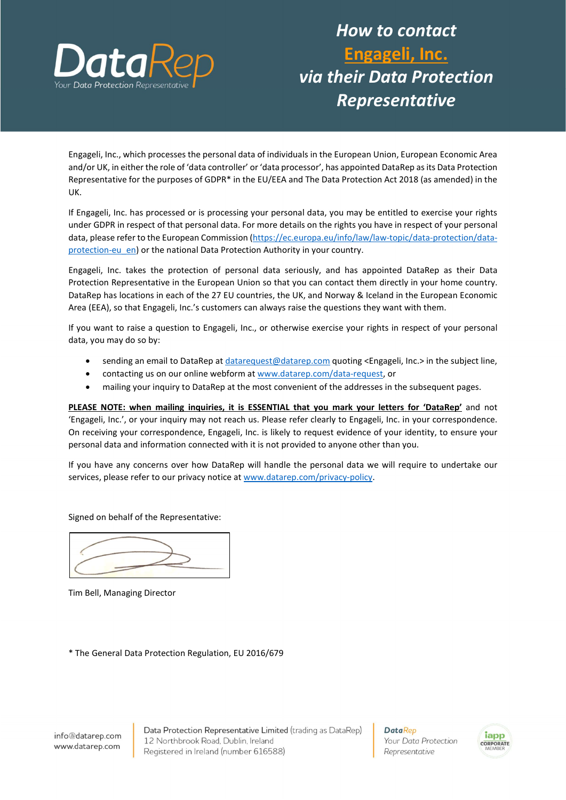

## How to contact Engageli, Inc. via their Data Protection Representative

Engageli, Inc., which processes the personal data of individuals in the European Union, European Economic Area and/or UK, in either the role of 'data controller' or 'data processor', has appointed DataRep as its Data Protection Representative for the purposes of GDPR\* in the EU/EEA and The Data Protection Act 2018 (as amended) in the UK.

If Engageli, Inc. has processed or is processing your personal data, you may be entitled to exercise your rights under GDPR in respect of that personal data. For more details on the rights you have in respect of your personal data, please refer to the European Commission (https://ec.europa.eu/info/law/law-topic/data-protection/dataprotection-eu\_en) or the national Data Protection Authority in your country.

Engageli, Inc. takes the protection of personal data seriously, and has appointed DataRep as their Data Protection Representative in the European Union so that you can contact them directly in your home country. DataRep has locations in each of the 27 EU countries, the UK, and Norway & Iceland in the European Economic Area (EEA), so that Engageli, Inc.'s customers can always raise the questions they want with them.

If you want to raise a question to Engageli, Inc., or otherwise exercise your rights in respect of your personal data, you may do so by:

- sending an email to DataRep at datarequest@datarep.com quoting <Engageli, Inc.> in the subject line,
- contacting us on our online webform at www.datarep.com/data-request, or
- mailing your inquiry to DataRep at the most convenient of the addresses in the subsequent pages.

PLEASE NOTE: when mailing inquiries, it is ESSENTIAL that you mark your letters for 'DataRep' and not 'Engageli, Inc.', or your inquiry may not reach us. Please refer clearly to Engageli, Inc. in your correspondence. On receiving your correspondence, Engageli, Inc. is likely to request evidence of your identity, to ensure your personal data and information connected with it is not provided to anyone other than you.

If you have any concerns over how DataRep will handle the personal data we will require to undertake our services, please refer to our privacy notice at www.datarep.com/privacy-policy.

Signed on behalf of the Representative:



Tim Bell, Managing Director

\* The General Data Protection Regulation, EU 2016/679